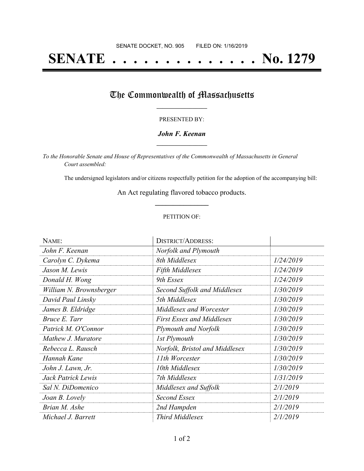## **SENATE . . . . . . . . . . . . . . No. 1279**

### The Commonwealth of Massachusetts

#### PRESENTED BY:

#### *John F. Keenan* **\_\_\_\_\_\_\_\_\_\_\_\_\_\_\_\_\_**

*To the Honorable Senate and House of Representatives of the Commonwealth of Massachusetts in General Court assembled:*

The undersigned legislators and/or citizens respectfully petition for the adoption of the accompanying bill:

An Act regulating flavored tobacco products. **\_\_\_\_\_\_\_\_\_\_\_\_\_\_\_**

#### PETITION OF:

| NAME:                   | <b>DISTRICT/ADDRESS:</b>         |           |
|-------------------------|----------------------------------|-----------|
| John F. Keenan          | Norfolk and Plymouth             |           |
| Carolyn C. Dykema       | 8th Middlesex                    | 1/24/2019 |
| Jason M. Lewis          | <b>Fifth Middlesex</b>           | 1/24/2019 |
| Donald H. Wong          | 9th Essex                        | 1/24/2019 |
| William N. Brownsberger | Second Suffolk and Middlesex     | 1/30/2019 |
| David Paul Linsky       | 5th Middlesex                    | 1/30/2019 |
| James B. Eldridge       | Middlesex and Worcester          | 1/30/2019 |
| Bruce E. Tarr           | <b>First Essex and Middlesex</b> | 1/30/2019 |
| Patrick M. O'Connor     | Plymouth and Norfolk             | 1/30/2019 |
| Mathew J. Muratore      | 1st Plymouth                     | 1/30/2019 |
| Rebecca L. Rausch       | Norfolk, Bristol and Middlesex   | 1/30/2019 |
| Hannah Kane             | 11th Worcester                   | 1/30/2019 |
| John J. Lawn, Jr.       | 10th Middlesex                   | 1/30/2019 |
| Jack Patrick Lewis      | 7th Middlesex                    | 1/31/2019 |
| Sal N. DiDomenico       | Middlesex and Suffolk            | 2/1/2019  |
| Joan B. Lovely          | Second Essex                     | 2/1/2019  |
| Brian M. Ashe           | 2nd Hampden                      | 2/1/2019  |
| Michael J. Barrett      | Third Middlesex                  | 2/1/2019  |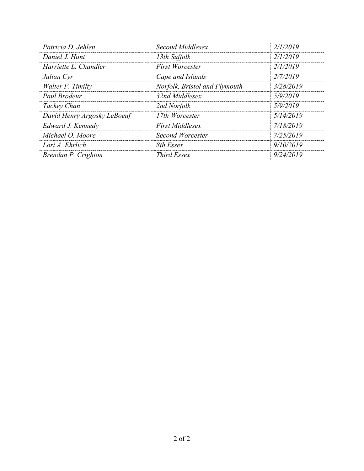| Patricia D. Jehlen          | Second Middlesex              | 2/1/2019  |
|-----------------------------|-------------------------------|-----------|
| Daniel J. Hunt              | 13th Suffolk                  | 2/1/2019  |
| Harriette L. Chandler       | <b>First Worcester</b>        | 2/1/2019  |
| Julian Cyr                  | Cape and Islands              | 2/7/2019  |
| Walter F. Timilty           | Norfolk, Bristol and Plymouth | 3/28/2019 |
| Paul Brodeur                | 32nd Middlesex                | 5/9/2019  |
| Tackey Chan                 | 2nd Norfolk                   | 5/9/2019  |
| David Henry Argosky LeBoeuf | 17th Worcester                | 5/14/2019 |
| Edward J. Kennedy           | <b>First Middlesex</b>        | 7/18/2019 |
| Michael O. Moore            | <b>Second Worcester</b>       | 7/25/2019 |
| Lori A. Ehrlich             | 8th Essex                     | 9/10/2019 |
| Brendan P. Crighton         | <i>Third Essex</i>            | 9/24/2019 |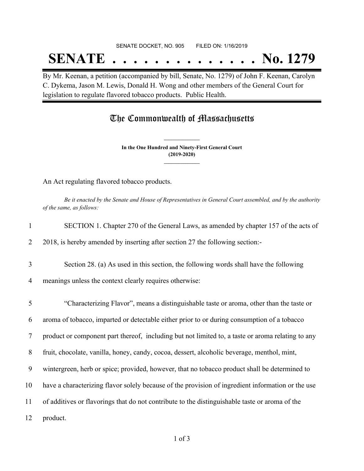#### SENATE DOCKET, NO. 905 FILED ON: 1/16/2019

# **SENATE . . . . . . . . . . . . . . No. 1279**

By Mr. Keenan, a petition (accompanied by bill, Senate, No. 1279) of John F. Keenan, Carolyn C. Dykema, Jason M. Lewis, Donald H. Wong and other members of the General Court for legislation to regulate flavored tobacco products. Public Health.

### The Commonwealth of Massachusetts

**In the One Hundred and Ninety-First General Court (2019-2020) \_\_\_\_\_\_\_\_\_\_\_\_\_\_\_**

**\_\_\_\_\_\_\_\_\_\_\_\_\_\_\_**

An Act regulating flavored tobacco products.

Be it enacted by the Senate and House of Representatives in General Court assembled, and by the authority *of the same, as follows:*

| $\mathbf{1}$   | SECTION 1. Chapter 270 of the General Laws, as amended by chapter 157 of the acts of              |
|----------------|---------------------------------------------------------------------------------------------------|
| $\overline{2}$ | 2018, is hereby amended by inserting after section 27 the following section:-                     |
| 3              | Section 28. (a) As used in this section, the following words shall have the following             |
| $\overline{4}$ | meanings unless the context clearly requires otherwise:                                           |
| 5              | "Characterizing Flavor", means a distinguishable taste or aroma, other than the taste or          |
| 6              | aroma of tobacco, imparted or detectable either prior to or during consumption of a tobacco       |
| $\tau$         | product or component part thereof, including but not limited to, a taste or aroma relating to any |
| 8              | fruit, chocolate, vanilla, honey, candy, cocoa, dessert, alcoholic beverage, menthol, mint,       |
| 9              | wintergreen, herb or spice; provided, however, that no tobacco product shall be determined to     |
| 10             | have a characterizing flavor solely because of the provision of ingredient information or the use |
| 11             | of additives or flavorings that do not contribute to the distinguishable taste or aroma of the    |
| 12             | product.                                                                                          |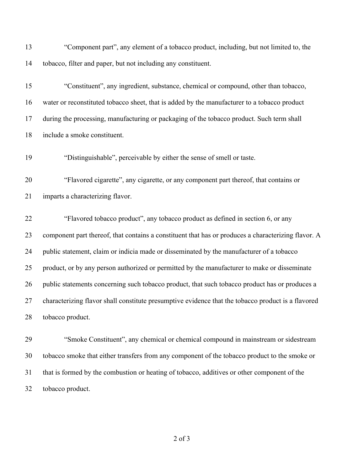"Component part", any element of a tobacco product, including, but not limited to, the tobacco, filter and paper, but not including any constituent.

 "Constituent", any ingredient, substance, chemical or compound, other than tobacco, water or reconstituted tobacco sheet, that is added by the manufacturer to a tobacco product during the processing, manufacturing or packaging of the tobacco product. Such term shall include a smoke constituent.

"Distinguishable", perceivable by either the sense of smell or taste.

 "Flavored cigarette", any cigarette, or any component part thereof, that contains or imparts a characterizing flavor.

 "Flavored tobacco product", any tobacco product as defined in section 6, or any component part thereof, that contains a constituent that has or produces a characterizing flavor. A public statement, claim or indicia made or disseminated by the manufacturer of a tobacco product, or by any person authorized or permitted by the manufacturer to make or disseminate 26 public statements concerning such tobacco product, that such tobacco product has or produces a characterizing flavor shall constitute presumptive evidence that the tobacco product is a flavored tobacco product.

 "Smoke Constituent", any chemical or chemical compound in mainstream or sidestream tobacco smoke that either transfers from any component of the tobacco product to the smoke or that is formed by the combustion or heating of tobacco, additives or other component of the tobacco product.

of 3